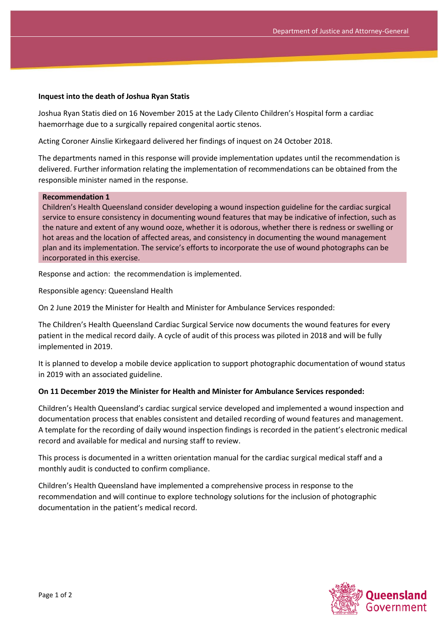## **Inquest into the death of Joshua Ryan Statis**

Joshua Ryan Statis died on 16 November 2015 at the Lady Cilento Children's Hospital form a cardiac haemorrhage due to a surgically repaired congenital aortic stenos.

Acting Coroner Ainslie Kirkegaard delivered her findings of inquest on 24 October 2018.

The departments named in this response will provide implementation updates until the recommendation is delivered. Further information relating the implementation of recommendations can be obtained from the responsible minister named in the response.

## **Recommendation 1**

Children's Health Queensland consider developing a wound inspection guideline for the cardiac surgical service to ensure consistency in documenting wound features that may be indicative of infection, such as the nature and extent of any wound ooze, whether it is odorous, whether there is redness or swelling or hot areas and the location of affected areas, and consistency in documenting the wound management plan and its implementation. The service's efforts to incorporate the use of wound photographs can be incorporated in this exercise.

Response and action: the recommendation is implemented.

Responsible agency: Queensland Health

On 2 June 2019 the Minister for Health and Minister for Ambulance Services responded:

The Children's Health Queensland Cardiac Surgical Service now documents the wound features for every patient in the medical record daily. A cycle of audit of this process was piloted in 2018 and will be fully implemented in 2019.

It is planned to develop a mobile device application to support photographic documentation of wound status in 2019 with an associated guideline.

## **On 11 December 2019 the Minister for Health and Minister for Ambulance Services responded:**

Children's Health Queensland's cardiac surgical service developed and implemented a wound inspection and documentation process that enables consistent and detailed recording of wound features and management. A template for the recording of daily wound inspection findings is recorded in the patient's electronic medical record and available for medical and nursing staff to review.

This process is documented in a written orientation manual for the cardiac surgical medical staff and a monthly audit is conducted to confirm compliance.

Children's Health Queensland have implemented a comprehensive process in response to the recommendation and will continue to explore technology solutions for the inclusion of photographic documentation in the patient's medical record.